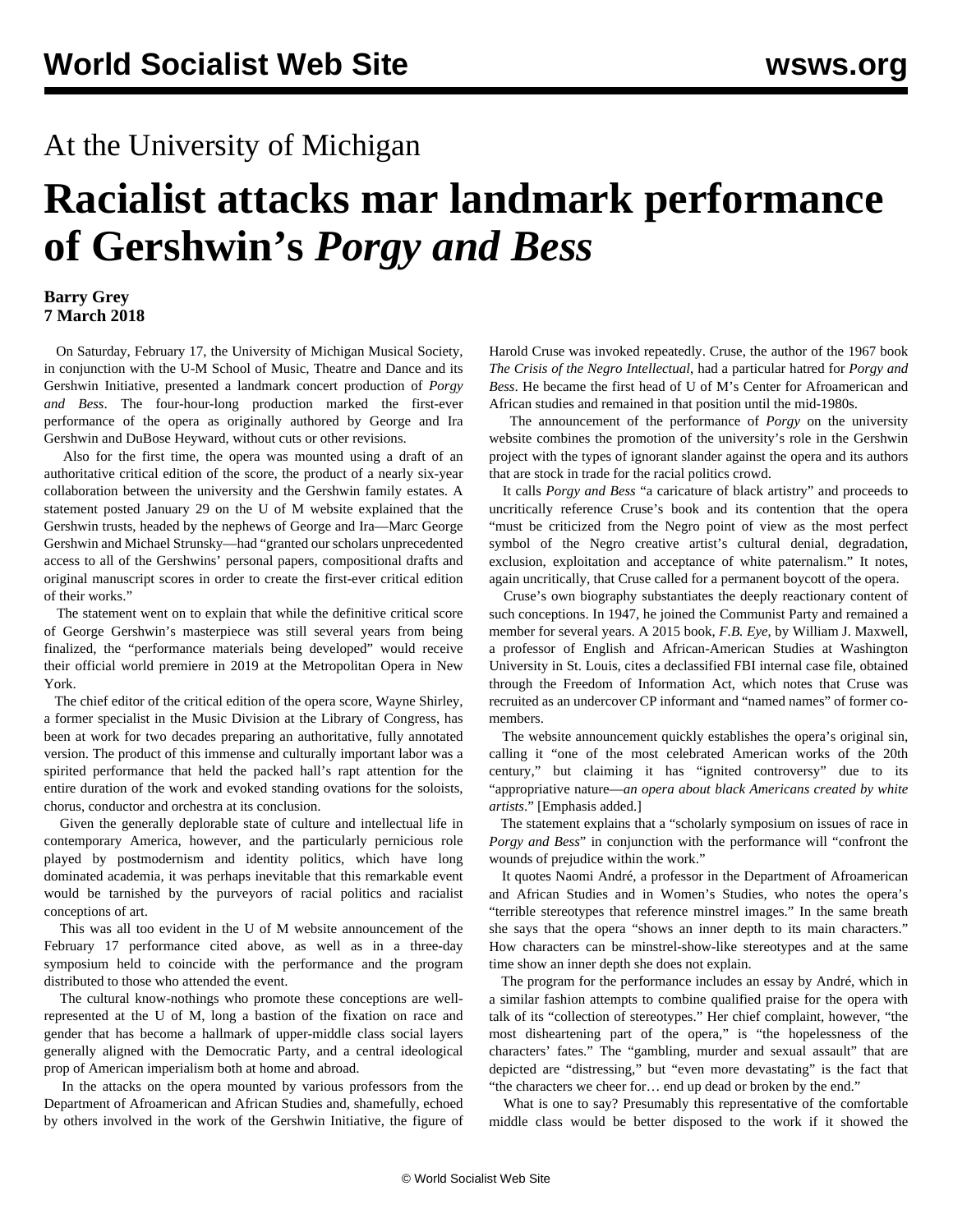## At the University of Michigan

## **Racialist attacks mar landmark performance of Gershwin's** *Porgy and Bess*

## **Barry Grey 7 March 2018**

 On Saturday, February 17, the University of Michigan Musical Society, in conjunction with the U-M School of Music, Theatre and Dance and its Gershwin Initiative, presented a landmark concert production of *Porgy and Bess*. The four-hour-long production marked the first-ever performance of the opera as originally authored by George and Ira Gershwin and DuBose Heyward, without cuts or other revisions.

 Also for the first time, the opera was mounted using a draft of an authoritative critical edition of the score, the product of a nearly six-year collaboration between the university and the Gershwin family estates. A statement posted January 29 on the U of M website explained that the Gershwin trusts, headed by the nephews of George and Ira—Marc George Gershwin and Michael Strunsky—had "granted our scholars unprecedented access to all of the Gershwins' personal papers, compositional drafts and original manuscript scores in order to create the first-ever critical edition of their works."

 The statement went on to explain that while the definitive critical score of George Gershwin's masterpiece was still several years from being finalized, the "performance materials being developed" would receive their official world premiere in 2019 at the Metropolitan Opera in New York.

 The chief editor of the critical edition of the opera score, Wayne Shirley, a former specialist in the Music Division at the Library of Congress, has been at work for two decades preparing an authoritative, fully annotated version. The product of this immense and culturally important labor was a spirited performance that held the packed hall's rapt attention for the entire duration of the work and evoked standing ovations for the soloists, chorus, conductor and orchestra at its conclusion.

 Given the generally deplorable state of culture and intellectual life in contemporary America, however, and the particularly pernicious role played by postmodernism and identity politics, which have long dominated academia, it was perhaps inevitable that this remarkable event would be tarnished by the purveyors of racial politics and racialist conceptions of art.

 This was all too evident in the U of M website announcement of the February 17 performance cited above, as well as in a three-day symposium held to coincide with the performance and the program distributed to those who attended the event.

 The cultural know-nothings who promote these conceptions are wellrepresented at the U of M, long a bastion of the fixation on race and gender that has become a hallmark of upper-middle class social layers generally aligned with the Democratic Party, and a central ideological prop of American imperialism both at home and abroad.

 In the attacks on the opera mounted by various professors from the Department of Afroamerican and African Studies and, shamefully, echoed by others involved in the work of the Gershwin Initiative, the figure of Harold Cruse was invoked repeatedly. Cruse, the author of the 1967 book *The Crisis of the Negro Intellectual*, had a particular hatred for *Porgy and Bess*. He became the first head of U of M's Center for Afroamerican and African studies and remained in that position until the mid-1980s.

 The announcement of the performance of *Porgy* on the university website combines the promotion of the university's role in the Gershwin project with the types of ignorant slander against the opera and its authors that are stock in trade for the racial politics crowd.

 It calls *Porgy and Bess* "a caricature of black artistry" and proceeds to uncritically reference Cruse's book and its contention that the opera "must be criticized from the Negro point of view as the most perfect symbol of the Negro creative artist's cultural denial, degradation, exclusion, exploitation and acceptance of white paternalism." It notes, again uncritically, that Cruse called for a permanent boycott of the opera.

 Cruse's own biography substantiates the deeply reactionary content of such conceptions. In 1947, he joined the Communist Party and remained a member for several years. A 2015 book, *F.B. Eye*, by William J. Maxwell, a professor of English and African-American Studies at Washington University in St. Louis, cites a declassified FBI internal case file, obtained through the Freedom of Information Act, which notes that Cruse was recruited as an undercover CP informant and "named names" of former comembers.

 The website announcement quickly establishes the opera's original sin, calling it "one of the most celebrated American works of the 20th century," but claiming it has "ignited controversy" due to its "appropriative nature—*an opera about black Americans created by white artists*." [Emphasis added.]

 The statement explains that a "scholarly symposium on issues of race in *Porgy and Bess*" in conjunction with the performance will "confront the wounds of prejudice within the work."

 It quotes Naomi André, a professor in the Department of Afroamerican and African Studies and in Women's Studies, who notes the opera's "terrible stereotypes that reference minstrel images." In the same breath she says that the opera "shows an inner depth to its main characters." How characters can be minstrel-show-like stereotypes and at the same time show an inner depth she does not explain.

 The program for the performance includes an essay by André, which in a similar fashion attempts to combine qualified praise for the opera with talk of its "collection of stereotypes." Her chief complaint, however, "the most disheartening part of the opera," is "the hopelessness of the characters' fates." The "gambling, murder and sexual assault" that are depicted are "distressing," but "even more devastating" is the fact that "the characters we cheer for… end up dead or broken by the end."

 What is one to say? Presumably this representative of the comfortable middle class would be better disposed to the work if it showed the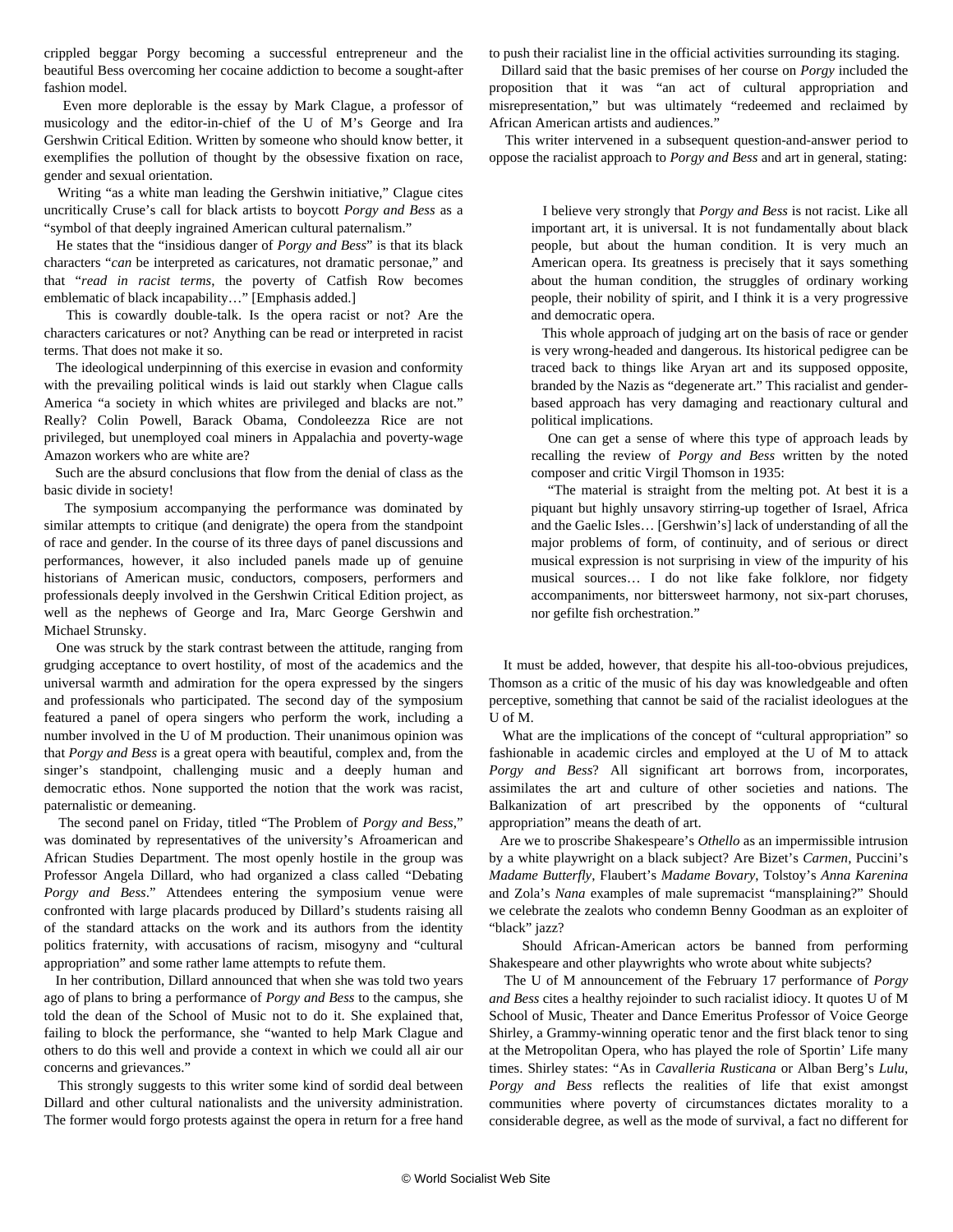crippled beggar Porgy becoming a successful entrepreneur and the beautiful Bess overcoming her cocaine addiction to become a sought-after fashion model.

 Even more deplorable is the essay by Mark Clague, a professor of musicology and the editor-in-chief of the U of M's George and Ira Gershwin Critical Edition. Written by someone who should know better, it exemplifies the pollution of thought by the obsessive fixation on race, gender and sexual orientation.

 Writing "as a white man leading the Gershwin initiative," Clague cites uncritically Cruse's call for black artists to boycott *Porgy and Bess* as a "symbol of that deeply ingrained American cultural paternalism."

 He states that the "insidious danger of *Porgy and Bess*" is that its black characters "*can* be interpreted as caricatures, not dramatic personae," and that "*read in racist terms*, the poverty of Catfish Row becomes emblematic of black incapability…" [Emphasis added.]

 This is cowardly double-talk. Is the opera racist or not? Are the characters caricatures or not? Anything can be read or interpreted in racist terms. That does not make it so.

 The ideological underpinning of this exercise in evasion and conformity with the prevailing political winds is laid out starkly when Clague calls America "a society in which whites are privileged and blacks are not." Really? Colin Powell, Barack Obama, Condoleezza Rice are not privileged, but unemployed coal miners in Appalachia and poverty-wage Amazon workers who are white are?

 Such are the absurd conclusions that flow from the denial of class as the basic divide in society!

 The symposium accompanying the performance was dominated by similar attempts to critique (and denigrate) the opera from the standpoint of race and gender. In the course of its three days of panel discussions and performances, however, it also included panels made up of genuine historians of American music, conductors, composers, performers and professionals deeply involved in the Gershwin Critical Edition project, as well as the nephews of George and Ira, Marc George Gershwin and Michael Strunsky.

 One was struck by the stark contrast between the attitude, ranging from grudging acceptance to overt hostility, of most of the academics and the universal warmth and admiration for the opera expressed by the singers and professionals who participated. The second day of the symposium featured a panel of opera singers who perform the work, including a number involved in the U of M production. Their unanimous opinion was that *Porgy and Bess* is a great opera with beautiful, complex and, from the singer's standpoint, challenging music and a deeply human and democratic ethos. None supported the notion that the work was racist, paternalistic or demeaning.

 The second panel on Friday, titled "The Problem of *Porgy and Bess*," was dominated by representatives of the university's Afroamerican and African Studies Department. The most openly hostile in the group was Professor Angela Dillard, who had organized a class called "Debating *Porgy and Bess*." Attendees entering the symposium venue were confronted with large placards produced by Dillard's students raising all of the standard attacks on the work and its authors from the identity politics fraternity, with accusations of racism, misogyny and "cultural appropriation" and some rather lame attempts to refute them.

 In her contribution, Dillard announced that when she was told two years ago of plans to bring a performance of *Porgy and Bess* to the campus, she told the dean of the School of Music not to do it. She explained that, failing to block the performance, she "wanted to help Mark Clague and others to do this well and provide a context in which we could all air our concerns and grievances."

 This strongly suggests to this writer some kind of sordid deal between Dillard and other cultural nationalists and the university administration. The former would forgo protests against the opera in return for a free hand to push their racialist line in the official activities surrounding its staging.

 Dillard said that the basic premises of her course on *Porgy* included the proposition that it was "an act of cultural appropriation and misrepresentation," but was ultimately "redeemed and reclaimed by African American artists and audiences."

 This writer intervened in a subsequent question-and-answer period to oppose the racialist approach to *Porgy and Bess* and art in general, stating:

 I believe very strongly that *Porgy and Bess* is not racist. Like all important art, it is universal. It is not fundamentally about black people, but about the human condition. It is very much an American opera. Its greatness is precisely that it says something about the human condition, the struggles of ordinary working people, their nobility of spirit, and I think it is a very progressive and democratic opera.

 This whole approach of judging art on the basis of race or gender is very wrong-headed and dangerous. Its historical pedigree can be traced back to things like Aryan art and its supposed opposite, branded by the Nazis as "degenerate art." This racialist and genderbased approach has very damaging and reactionary cultural and political implications.

 One can get a sense of where this type of approach leads by recalling the review of *Porgy and Bess* written by the noted composer and critic Virgil Thomson in 1935:

 "The material is straight from the melting pot. At best it is a piquant but highly unsavory stirring-up together of Israel, Africa and the Gaelic Isles… [Gershwin's] lack of understanding of all the major problems of form, of continuity, and of serious or direct musical expression is not surprising in view of the impurity of his musical sources… I do not like fake folklore, nor fidgety accompaniments, nor bittersweet harmony, not six-part choruses, nor gefilte fish orchestration."

 It must be added, however, that despite his all-too-obvious prejudices, Thomson as a critic of the music of his day was knowledgeable and often perceptive, something that cannot be said of the racialist ideologues at the U of M.

 What are the implications of the concept of "cultural appropriation" so fashionable in academic circles and employed at the U of M to attack *Porgy and Bess*? All significant art borrows from, incorporates, assimilates the art and culture of other societies and nations. The Balkanization of art prescribed by the opponents of "cultural appropriation" means the death of art.

 Are we to proscribe Shakespeare's *Othello* as an impermissible intrusion by a white playwright on a black subject? Are Bizet's *Carmen*, Puccini's *Madame Butterfly*, Flaubert's *Madame Bovary*, Tolstoy's *Anna Karenina* and Zola's *Nana* examples of male supremacist "mansplaining?" Should we celebrate the zealots who condemn Benny Goodman as an exploiter of "black" jazz?

 Should African-American actors be banned from performing Shakespeare and other playwrights who wrote about white subjects?

 The U of M announcement of the February 17 performance of *Porgy and Bess* cites a healthy rejoinder to such racialist idiocy. It quotes U of M School of Music, Theater and Dance Emeritus Professor of Voice George Shirley, a Grammy-winning operatic tenor and the first black tenor to sing at the Metropolitan Opera, who has played the role of Sportin' Life many times. Shirley states: "As in *Cavalleria Rusticana* or Alban Berg's *Lulu*, *Porgy and Bess* reflects the realities of life that exist amongst communities where poverty of circumstances dictates morality to a considerable degree, as well as the mode of survival, a fact no different for